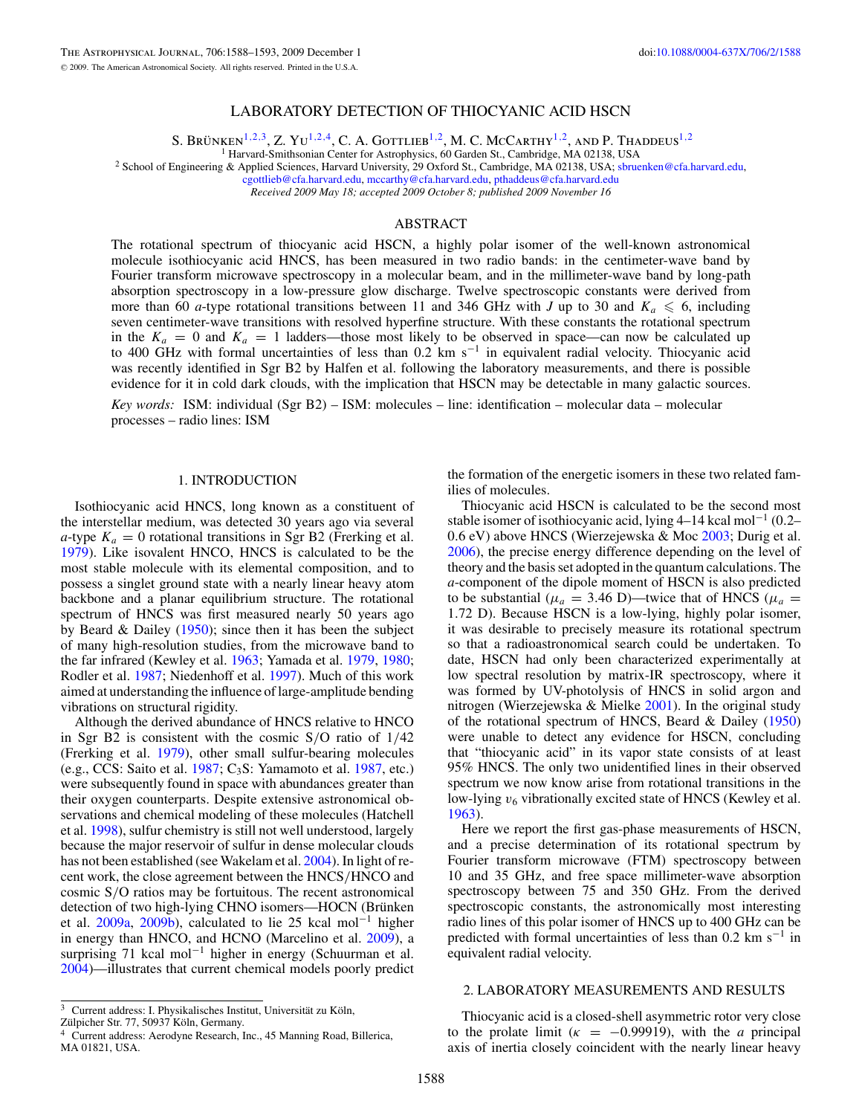# LABORATORY DETECTION OF THIOCYANIC ACID HSCN

S. BRÜNKEN<sup>1,2,[3](#page-0-0)</sup>, Z. YU<sup>1,2,[4](#page-0-0)</sup>, C. A. GOTTLIEB<sup>1,2</sup>, M. C. MCCARTHY<sup>1,2</sup>, AND P. THADDEUS<sup>1,2</sup><sup>1</sup> Harvard-Smithsonian Center for Astrophysics, 60 Garden St., Cambridge, MA 02138, USA

<sup>2</sup> School of Engineering & Applied Sciences, Harvard University, 29 Oxford St., Cambridge, MA 02138, USA; [sbruenken@cfa.harvard.edu,](mailto:sbruenken@cfa.harvard.edu)

[cgottlieb@cfa.harvard.edu,](mailto:cgottlieb@cfa.harvard.edu) [mccarthy@cfa.harvard.edu,](mailto:mccarthy@cfa.harvard.edu) [pthaddeus@cfa.harvard.edu](mailto:pthaddeus@cfa.harvard.edu) *Received 2009 May 18; accepted 2009 October 8; published 2009 November 16*

# ABSTRACT

The rotational spectrum of thiocyanic acid HSCN, a highly polar isomer of the well-known astronomical molecule isothiocyanic acid HNCS, has been measured in two radio bands: in the centimeter-wave band by Fourier transform microwave spectroscopy in a molecular beam, and in the millimeter-wave band by long-path absorption spectroscopy in a low-pressure glow discharge. Twelve spectroscopic constants were derived from more than 60 *a*-type rotational transitions between 11 and 346 GHz with *J* up to 30 and  $K_a \le 6$ , including seven centimeter-wave transitions with resolved hyperfine structure. With these constants the rotational spectrum in the  $K_a = 0$  and  $K_a = 1$  ladders—those most likely to be observed in space—can now be calculated up to 400 GHz with formal uncertainties of less than 0.2 km s−<sup>1</sup> in equivalent radial velocity. Thiocyanic acid was recently identified in Sgr B2 by Halfen et al. following the laboratory measurements, and there is possible evidence for it in cold dark clouds, with the implication that HSCN may be detectable in many galactic sources.

*Key words:* ISM: individual (Sgr B2) – ISM: molecules – line: identification – molecular data – molecular processes – radio lines: ISM

## 1. INTRODUCTION

Isothiocyanic acid HNCS, long known as a constituent of the interstellar medium, was detected 30 years ago via several *a*-type  $K_a = 0$  rotational transitions in Sgr B2 (Frerking et al. [1979\)](#page-4-0). Like isovalent HNCO, HNCS is calculated to be the most stable molecule with its elemental composition, and to possess a singlet ground state with a nearly linear heavy atom backbone and a planar equilibrium structure. The rotational spectrum of HNCS was first measured nearly 50 years ago by Beard  $\&$  Dailey [\(1950\)](#page-4-1); since then it has been the subject of many high-resolution studies, from the microwave band to the far infrared (Kewley et al. [1963;](#page-4-2) Yamada et al. [1979,](#page-5-0) [1980;](#page-5-1) Rodler et al. [1987;](#page-4-3) Niedenhoff et al. [1997\)](#page-4-4). Much of this work aimed at understanding the influence of large-amplitude bending vibrations on structural rigidity.

Although the derived abundance of HNCS relative to HNCO in Sgr B2 is consistent with the cosmic S/O ratio of 1/42 (Frerking et al. [1979\)](#page-4-0), other small sulfur-bearing molecules (e.g., CCS: Saito et al.  $1987$ ; C<sub>3</sub>S: Yamamoto et al. [1987,](#page-5-2) etc.) were subsequently found in space with abundances greater than their oxygen counterparts. Despite extensive astronomical observations and chemical modeling of these molecules (Hatchell et al. [1998\)](#page-4-6), sulfur chemistry is still not well understood, largely because the major reservoir of sulfur in dense molecular clouds has not been established (see Wakelam et al. [2004\)](#page-5-1). In light of recent work, the close agreement between the HNCS/HNCO and cosmic S/O ratios may be fortuitous. The recent astronomical detection of two high-lying CHNO isomers—HOCN (Brünken et al. [2009a,](#page-4-7) [2009b\)](#page-4-8), calculated to lie 25 kcal mol<sup>-1</sup> higher in energy than HNCO, and HCNO (Marcelino et al. [2009\)](#page-4-9), a surprising 71 kcal mol<sup>-1</sup> higher in energy (Schuurman et al. [2004\)](#page-5-0)—illustrates that current chemical models poorly predict the formation of the energetic isomers in these two related families of molecules.

Thiocyanic acid HSCN is calculated to be the second most stable isomer of isothiocyanic acid, lying 4–14 kcal mol−<sup>1</sup> (0.2– 0.6 eV) above HNCS (Wierzejewska & Moc [2003;](#page-5-3) Durig et al. [2006\)](#page-4-10), the precise energy difference depending on the level of theory and the basis set adopted in the quantum calculations. The *a*-component of the dipole moment of HSCN is also predicted to be substantial ( $\mu_a = 3.46$  D)—twice that of HNCS ( $\mu_a =$ 1.72 D). Because HSCN is a low-lying, highly polar isomer, it was desirable to precisely measure its rotational spectrum so that a radioastronomical search could be undertaken. To date, HSCN had only been characterized experimentally at low spectral resolution by matrix-IR spectroscopy, where it was formed by UV-photolysis of HNCS in solid argon and nitrogen (Wierzejewska & Mielke [2001\)](#page-5-2). In the original study of the rotational spectrum of HNCS, Beard & Dailey [\(1950\)](#page-4-1) were unable to detect any evidence for HSCN, concluding that "thiocyanic acid" in its vapor state consists of at least 95% HNCS. The only two unidentified lines in their observed spectrum we now know arise from rotational transitions in the low-lying  $v_6$  vibrationally excited state of HNCS (Kewley et al. [1963\)](#page-4-2).

Here we report the first gas-phase measurements of HSCN, and a precise determination of its rotational spectrum by Fourier transform microwave (FTM) spectroscopy between 10 and 35 GHz, and free space millimeter-wave absorption spectroscopy between 75 and 350 GHz. From the derived spectroscopic constants, the astronomically most interesting radio lines of this polar isomer of HNCS up to 400 GHz can be predicted with formal uncertainties of less than  $0.2 \text{ km s}^{-1}$  in equivalent radial velocity.

## 2. LABORATORY MEASUREMENTS AND RESULTS

Thiocyanic acid is a closed-shell asymmetric rotor very close to the prolate limit  $(\kappa = -0.99919)$ , with the *a* principal axis of inertia closely coincident with the nearly linear heavy

<span id="page-0-0"></span> $^3$  Current address: I. Physikalisches Institut, Universität zu Köln,

Zülpicher Str. 77, 50937 Köln, Germany.

<sup>4</sup> Current address: Aerodyne Research, Inc., 45 Manning Road, Billerica, MA 01821, USA.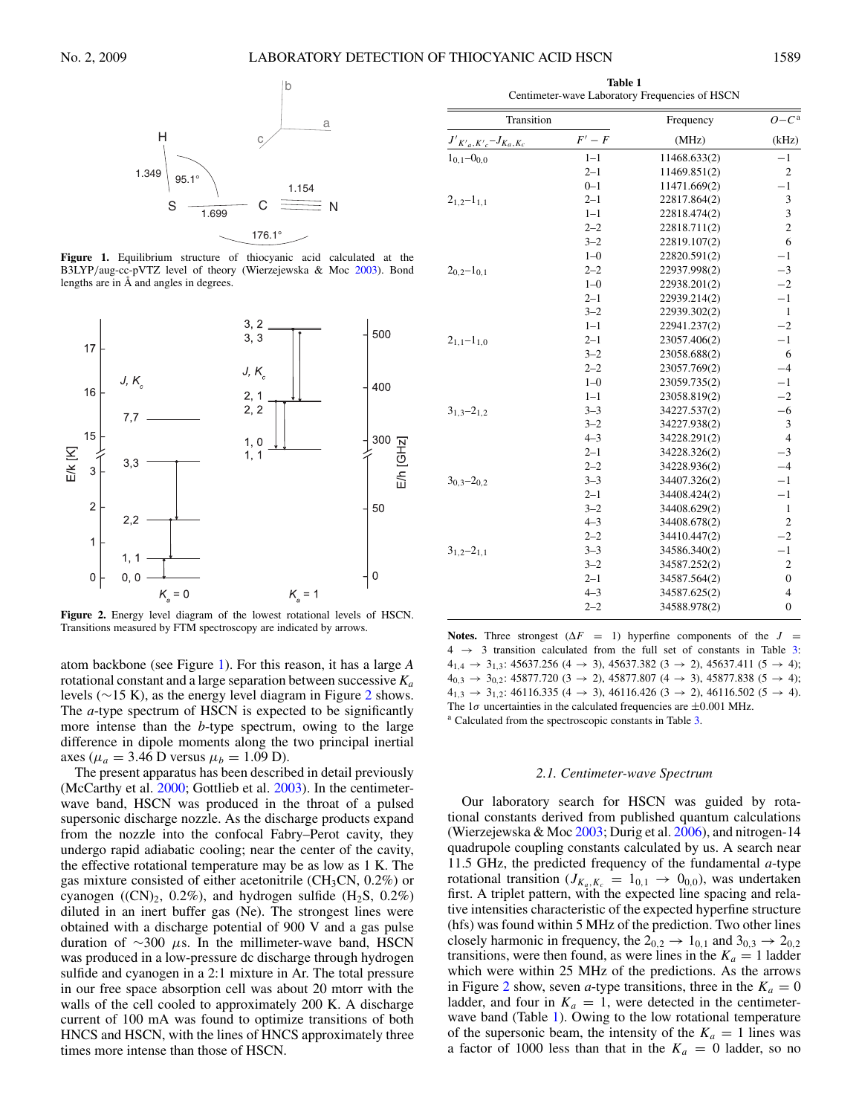<span id="page-1-2"></span>

<span id="page-1-0"></span>**Figure 1.** Equilibrium structure of thiocyanic acid calculated at the B3LYP/aug-cc-pVTZ level of theory (Wierzejewska & Moc [2003\)](#page-5-3). Bond lengths are in Å and angles in degrees.



<span id="page-1-1"></span>**Figure 2.** Energy level diagram of the lowest rotational levels of HSCN. Transitions measured by FTM spectroscopy are indicated by arrows.

atom backbone (see Figure [1\)](#page-1-0). For this reason, it has a large *A* rotational constant and a large separation between successive *Ka* levels (∼15 K), as the energy level diagram in Figure [2](#page-1-1) shows. The *a*-type spectrum of HSCN is expected to be significantly more intense than the *b*-type spectrum, owing to the large difference in dipole moments along the two principal inertial axes ( $\mu_a = 3.46$  D versus  $\mu_b = 1.09$  D).

The present apparatus has been described in detail previously (McCarthy et al. [2000;](#page-4-11) Gottlieb et al. [2003\)](#page-4-12). In the centimeterwave band, HSCN was produced in the throat of a pulsed supersonic discharge nozzle. As the discharge products expand from the nozzle into the confocal Fabry–Perot cavity, they undergo rapid adiabatic cooling; near the center of the cavity, the effective rotational temperature may be as low as 1 K. The gas mixture consisted of either acetonitrile (CH<sub>3</sub>CN,  $0.2\%$ ) or cyanogen ((CN)<sub>2</sub>, 0.2%), and hydrogen sulfide (H<sub>2</sub>S, 0.2%) diluted in an inert buffer gas (Ne). The strongest lines were obtained with a discharge potential of 900 V and a gas pulse duration of ∼300 µs. In the millimeter-wave band, HSCN was produced in a low-pressure dc discharge through hydrogen sulfide and cyanogen in a 2:1 mixture in Ar. The total pressure in our free space absorption cell was about 20 mtorr with the walls of the cell cooled to approximately 200 K. A discharge current of 100 mA was found to optimize transitions of both HNCS and HSCN, with the lines of HNCS approximately three times more intense than those of HSCN.

**Table 1** Centimeter-wave Laboratory Frequencies of HSCN

| Transition                   |         | Frequency    | $O - C^a$        |
|------------------------------|---------|--------------|------------------|
| $J'_{K'a,K'c} - J_{K_a,K_c}$ | $F'-F$  | (MHz)        | (kHz)            |
| $1_{0.1} - 0_{0.0}$          | $1 - 1$ | 11468.633(2) | $-1$             |
|                              | $2 - 1$ | 11469.851(2) | $\mathfrak{2}$   |
|                              | $0 - 1$ | 11471.669(2) | $-1$             |
| $2_{1.2} - 1_{1.1}$          | $2 - 1$ | 22817.864(2) | 3                |
|                              | $1 - 1$ | 22818.474(2) | 3                |
|                              | $2 - 2$ | 22818.711(2) | $\overline{c}$   |
|                              | $3 - 2$ | 22819.107(2) | 6                |
|                              | $1 - 0$ | 22820.591(2) | $-1$             |
| $2_{0.2} - 1_{0.1}$          | $2 - 2$ | 22937.998(2) | $-3$             |
|                              | $1 - 0$ | 22938.201(2) | $-2$             |
|                              | $2 - 1$ | 22939.214(2) | $-1$             |
|                              | $3 - 2$ | 22939.302(2) | $\mathbf{1}$     |
|                              | $1 - 1$ | 22941.237(2) | $-2$             |
| $2_{1,1}$ -1 <sub>1.0</sub>  | $2 - 1$ | 23057.406(2) | $-1$             |
|                              | $3 - 2$ | 23058.688(2) | 6                |
|                              | $2 - 2$ | 23057.769(2) | $-4$             |
|                              | $1 - 0$ | 23059.735(2) | $-1$             |
|                              | $1 - 1$ | 23058.819(2) | $-2$             |
| $3_{1,3} - 2_{1,2}$          | $3 - 3$ | 34227.537(2) | $-6$             |
|                              | $3 - 2$ | 34227.938(2) | 3                |
|                              | $4 - 3$ | 34228.291(2) | $\overline{4}$   |
|                              | $2 - 1$ | 34228.326(2) | $-3$             |
|                              | $2 - 2$ | 34228.936(2) | $-4$             |
| $3_{0.3} - 2_{0.2}$          | $3 - 3$ | 34407.326(2) | $-1$             |
|                              | $2 - 1$ | 34408.424(2) | $-1$             |
|                              | $3 - 2$ | 34408.629(2) | $\mathbf{1}$     |
|                              | $4 - 3$ | 34408.678(2) | $\mathfrak{2}$   |
|                              | $2 - 2$ | 34410.447(2) | $-2$             |
| $31.2 - 21.1$                | $3 - 3$ | 34586.340(2) | $-1$             |
|                              | $3 - 2$ | 34587.252(2) | $\mathfrak{2}$   |
|                              | $2 - 1$ | 34587.564(2) | $\boldsymbol{0}$ |
|                              | $4 - 3$ | 34587.625(2) | $\overline{4}$   |
|                              | $2 - 2$ | 34588.978(2) | $\mathbf{0}$     |
|                              |         |              |                  |

**Notes.** Three strongest  $(\Delta F = 1)$  hyperfine components of the  $J =$  $4 \rightarrow 3$  transition calculated from the full set of constants in Table [3:](#page-4-13)  $4_{1,4} \rightarrow 3_{1,3}$ : 45637.256 (4  $\rightarrow$  3), 45637.382 (3  $\rightarrow$  2), 45637.411 (5  $\rightarrow$  4);  $4_{0,3}$   $\rightarrow$  3<sub>0,2</sub>: 45877.720 (3  $\rightarrow$  2), 45877.807 (4  $\rightarrow$  3), 45877.838 (5  $\rightarrow$  4);  $4_{1,3}$   $\rightarrow$  3<sub>1,2</sub>: 46116.335 (4  $\rightarrow$  3), 46116.426 (3  $\rightarrow$  2), 46116.502 (5  $\rightarrow$  4). The 1 $\sigma$  uncertainties in the calculated frequencies are  $\pm 0.001$  MHz. a Calculated from the spectroscopic constants in Table [3.](#page-4-13)

# *2.1. Centimeter-wave Spectrum*

Our laboratory search for HSCN was guided by rotational constants derived from published quantum calculations (Wierzejewska  $&$  Moc [2003;](#page-5-3) Durig et al. [2006\)](#page-4-10), and nitrogen-14 quadrupole coupling constants calculated by us. A search near 11.5 GHz, the predicted frequency of the fundamental *a*-type rotational transition ( $J_{K_a,K_c} = 1_{0,1} \rightarrow 0_{0,0}$ ), was undertaken first. A triplet pattern, with the expected line spacing and relative intensities characteristic of the expected hyperfine structure (hfs) was found within 5 MHz of the prediction. Two other lines closely harmonic in frequency, the  $2_{0,2} \rightarrow 1_{0,1}$  and  $3_{0,3} \rightarrow 2_{0,2}$ transitions, were then found, as were lines in the  $K_a = 1$  ladder which were within 25 MHz of the predictions. As the arrows in Figure [2](#page-1-1) show, seven *a*-type transitions, three in the  $K_a = 0$ ladder, and four in  $K_a = 1$ , were detected in the centimeter-wave band (Table [1\)](#page-1-2). Owing to the low rotational temperature of the supersonic beam, the intensity of the  $K_a = 1$  lines was a factor of 1000 less than that in the  $K_a = 0$  ladder, so no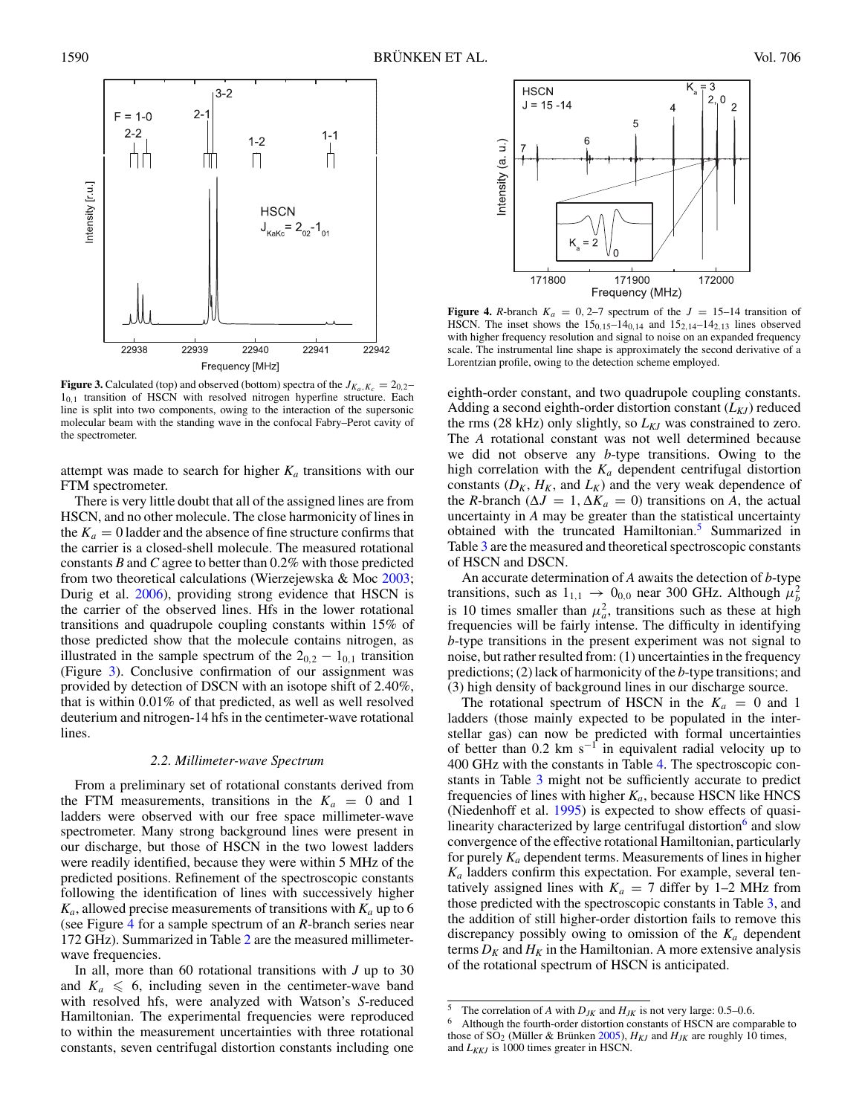<span id="page-2-1"></span>

<span id="page-2-0"></span>**Figure 3.** Calculated (top) and observed (bottom) spectra of the  $J_{K_a,K_c} = 2_{0,2}$  $1<sub>0.1</sub>$  transition of HSCN with resolved nitrogen hyperfine structure. Each line is split into two components, owing to the interaction of the supersonic molecular beam with the standing wave in the confocal Fabry–Perot cavity of the spectrometer.

attempt was made to search for higher  $K_a$  transitions with our FTM spectrometer.

There is very little doubt that all of the assigned lines are from HSCN, and no other molecule. The close harmonicity of lines in the  $K_a = 0$  ladder and the absence of fine structure confirms that the carrier is a closed-shell molecule. The measured rotational constants *B* and *C* agree to better than 0.2% with those predicted from two theoretical calculations (Wierzejewska & Moc [2003;](#page-5-3) Durig et al. [2006\)](#page-4-10), providing strong evidence that HSCN is the carrier of the observed lines. Hfs in the lower rotational transitions and quadrupole coupling constants within 15% of those predicted show that the molecule contains nitrogen, as illustrated in the sample spectrum of the  $2_{0,2} - 1_{0,1}$  transition (Figure [3\)](#page-2-0). Conclusive confirmation of our assignment was provided by detection of DSCN with an isotope shift of 2.40%, that is within 0.01% of that predicted, as well as well resolved deuterium and nitrogen-14 hfs in the centimeter-wave rotational lines.

## *2.2. Millimeter-wave Spectrum*

From a preliminary set of rotational constants derived from the FTM measurements, transitions in the  $K_a = 0$  and 1 ladders were observed with our free space millimeter-wave spectrometer. Many strong background lines were present in our discharge, but those of HSCN in the two lowest ladders were readily identified, because they were within 5 MHz of the predicted positions. Refinement of the spectroscopic constants following the identification of lines with successively higher  $K_a$ , allowed precise measurements of transitions with  $K_a$  up to 6 (see Figure [4](#page-2-1) for a sample spectrum of an *R*-branch series near 172 GHz). Summarized in Table [2](#page-3-0) are the measured millimeterwave frequencies.

<span id="page-2-3"></span><span id="page-2-2"></span>In all, more than 60 rotational transitions with *J* up to 30 and  $K_a \leq 6$ , including seven in the centimeter-wave band with resolved hfs, were analyzed with Watson's *S*-reduced Hamiltonian. The experimental frequencies were reproduced to within the measurement uncertainties with three rotational constants, seven centrifugal distortion constants including one



**Figure 4.** *R*-branch  $K_a = 0, 2-7$  spectrum of the  $J = 15-14$  transition of HSCN. The inset shows the  $15_{0,15}-14_{0,14}$  and  $15_{2,14}-14_{2,13}$  lines observed with higher frequency resolution and signal to noise on an expanded frequency scale. The instrumental line shape is approximately the second derivative of a Lorentzian profile, owing to the detection scheme employed.

eighth-order constant, and two quadrupole coupling constants. Adding a second eighth-order distortion constant  $(L_{KJ})$  reduced the rms (28 kHz) only slightly, so  $L_{KJ}$  was constrained to zero. The *A* rotational constant was not well determined because we did not observe any *b*-type transitions. Owing to the high correlation with the  $K_a$  dependent centrifugal distortion constants  $(D_K, H_K, \text{ and } L_K)$  and the very weak dependence of the *R*-branch ( $\Delta J = 1$ ,  $\Delta K_a = 0$ ) transitions on *A*, the actual uncertainty in *A* may be greater than the statistical uncertainty obtained with the truncated Hamiltonian.<sup>[5](#page-2-2)</sup> Summarized in Table [3](#page-4-13) are the measured and theoretical spectroscopic constants of HSCN and DSCN.

An accurate determination of *A* awaits the detection of *b*-type transitions, such as  $1_{1,1} \rightarrow 0_{0,0}$  near 300 GHz. Although  $\mu_b^2$ <br>is 10 times smaller than  $\mu_a^2$ , transitions such as these at high frequencies will be fairly intense. The difficulty in identifying *b*-type transitions in the present experiment was not signal to noise, but rather resulted from: (1) uncertainties in the frequency predictions; (2) lack of harmonicity of the *b*-type transitions; and (3) high density of background lines in our discharge source.

The rotational spectrum of HSCN in the  $K_a = 0$  and 1 ladders (those mainly expected to be populated in the interstellar gas) can now be predicted with formal uncertainties of better than 0.2 km s<sup>-1</sup> in equivalent radial velocity up to 400 GHz with the constants in Table [4.](#page-4-13) The spectroscopic constants in Table [3](#page-4-13) might not be sufficiently accurate to predict frequencies of lines with higher  $K_a$ , because HSCN like HNCS (Niedenhoff et al. [1995\)](#page-4-14) is expected to show effects of quasilinearity characterized by large centrifugal distortion $6$  and slow convergence of the effective rotational Hamiltonian, particularly for purely *Ka* dependent terms. Measurements of lines in higher *Ka* ladders confirm this expectation. For example, several tentatively assigned lines with  $K_a = 7$  differ by 1–2 MHz from those predicted with the spectroscopic constants in Table [3,](#page-4-13) and the addition of still higher-order distortion fails to remove this discrepancy possibly owing to omission of the  $K_a$  dependent terms  $D_K$  and  $H_K$  in the Hamiltonian. A more extensive analysis of the rotational spectrum of HSCN is anticipated.

<sup>&</sup>lt;sup>5</sup> The correlation of *A* with  $D_{JK}$  and  $H_{JK}$  is not very large: 0.5–0.6.<br><sup>6</sup> Although the fourth-order distortion constants of HSCN are comparable to those of  $\overline{SO}_2$  (Müller & Brünken [2005\)](#page-4-15),  $H_{KJ}$  and  $H_{JK}$  are roughly 10 times, and  $L_{KKJ}$  is 1000 times greater in HSCN.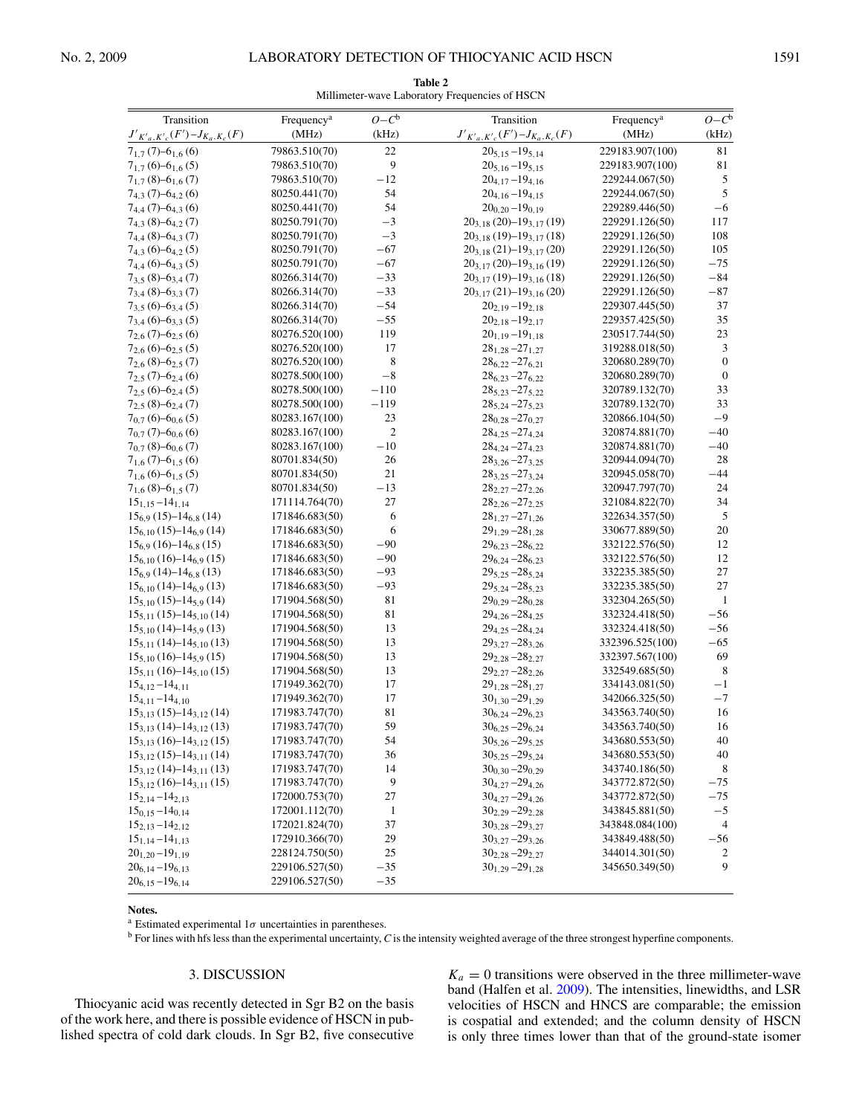<span id="page-3-0"></span> $\equiv$ 

| Transition                               | Frequency <sup>a</sup> | $O - C^b$    | Transition                               | Frequency <sup>a</sup> | $O - C^b$        |
|------------------------------------------|------------------------|--------------|------------------------------------------|------------------------|------------------|
| $J'_{K'a,K'c}(F') - J_{K_a,K_c}(F)$      | (MHz)                  | (kHz)        | $J'_{K'a,K'c}(F') - J_{K_a,K_c}(F)$      | (MHz)                  | (kHz)            |
| $7_{1,7}$ (7)-6 <sub>1,6</sub> (6)       | 79863.510(70)          | 22           | $20_{5,15} - 19_{5,14}$                  | 229183.907(100)        | 81               |
| $7_{1,7}(6) - 6_{1,6}(5)$                | 79863.510(70)          | 9            | $20_{5,16} - 19_{5,15}$                  | 229183.907(100)        | 81               |
| $7_{1,7}$ (8)-6 <sub>1,6</sub> (7)       | 79863.510(70)          | $-12$        | $20_{4,17} - 19_{4,16}$                  | 229244.067(50)         | 5                |
| $7_{4,3}$ (7)-6 <sub>4,2</sub> (6)       | 80250.441(70)          | 54           | $20_{4,16} - 19_{4,15}$                  | 229244.067(50)         | 5                |
| $7_{4,4}$ (7)–6 <sub>4,3</sub> (6)       | 80250.441(70)          | 54           | $20_{0,20} - 19_{0,19}$                  | 229289.446(50)         | $-6$             |
| $7_{4,3}$ (8)–6 <sub>4,2</sub> (7)       | 80250.791(70)          | $^{-3}$      | $20_{3,18}$ (20)-19 <sub>3,17</sub> (19) | 229291.126(50)         | 117              |
| $7_{4,4}$ (8)-6 <sub>4,3</sub> (7)       | 80250.791(70)          | $-3$         | $20_{3,18}$ (19)-19 <sub>3,17</sub> (18) | 229291.126(50)         | 108              |
| $7_{4,3}(6) - 6_{4,2}(5)$                | 80250.791(70)          | $-67$        | $20_{3,18}$ (21)-19 <sub>3.17</sub> (20) | 229291.126(50)         | 105              |
| $7_{4,4}(6)$ -6 <sub>4,3</sub> (5)       | 80250.791(70)          | $-67$        | $20_{3,17}$ (20)-19 <sub>3,16</sub> (19) | 229291.126(50)         | $-75$            |
| $7_{3,5}$ (8)-6 <sub>3,4</sub> (7)       | 80266.314(70)          | $-33$        | $20_{3,17}$ (19)-19 <sub>3,16</sub> (18) | 229291.126(50)         | $-84$            |
| $7_{3,4}(8)$ -6 <sub>3,3</sub> $(7)$     | 80266.314(70)          | $-33$        | $20_{3,17}$ (21)-19 <sub>3.16</sub> (20) | 229291.126(50)         | $-87$            |
| $7_{3,5}(6) - 6_{3,4}(5)$                | 80266.314(70)          | $-54$        | $20_{2,19} - 19_{2,18}$                  | 229307.445(50)         | 37               |
| $7_{3,4}(6)$ -6 <sub>3,3</sub> (5)       | 80266.314(70)          | $-55$        | $20_{2,18} - 19_{2,17}$                  | 229357.425(50)         | 35               |
| $7_{2,6}$ (7)–6 <sub>2,5</sub> (6)       | 80276.520(100)         | 119          | $20_{1,19} - 19_{1,18}$                  | 230517.744(50)         | 23               |
| $7_{2,6}(6)$ -6 <sub>2,5</sub> (5)       | 80276.520(100)         | 17           | $28_{1,28} - 27_{1,27}$                  | 319288.018(50)         | 3                |
| $7_{2,6}$ (8)-6 <sub>2,5</sub> (7)       | 80276.520(100)         | 8            | $28_{6,22} - 27_{6,21}$                  | 320680.289(70)         | $\boldsymbol{0}$ |
| $7_{2,5}$ (7)–6 <sub>2,4</sub> (6)       | 80278.500(100)         | $-8\,$       | $28_{6,23} - 27_{6,22}$                  | 320680.289(70)         | $\mathbf{0}$     |
| $7_{2,5}(6) - 6_{2,4}(5)$                | 80278.500(100)         | $-110$       | $28_{5,23} - 27_{5,22}$                  | 320789.132(70)         | 33               |
| $7_{2,5}$ (8)-6 <sub>2,4</sub> (7)       | 80278.500(100)         | $-119$       | $28_{5,24} - 27_{5,23}$                  | 320789.132(70)         | 33               |
| $7_{0,7}(6)$ -6 <sub>0.6</sub> (5)       | 80283.167(100)         | 23           | $28_{0,28} - 27_{0,27}$                  | 320866.104(50)         | $-9$             |
| $7_{0,7}$ (7)–6 <sub>0.6</sub> (6)       | 80283.167(100)         | 2            | $28_{4.25} - 27_{4.24}$                  | 320874.881(70)         | $-40$            |
| $7_{0.7}$ (8)-6 <sub>0.6</sub> (7)       | 80283.167(100)         | $-10$        | $28_{4,24} - 27_{4,23}$                  | 320874.881(70)         | $-40$            |
| $7_{1,6}$ (7)–6 <sub>1.5</sub> (6)       | 80701.834(50)          | 26           | $28_{3,26} - 27_{3,25}$                  | 320944.094(70)         | 28               |
| $7_{1,6}$ (6)–6 <sub>1,5</sub> (5)       | 80701.834(50)          | 21           | $28_{3,25} - 27_{3,24}$                  | 320945.058(70)         | $-44$            |
| $7_{1,6}$ (8)–6 <sub>1.5</sub> (7)       | 80701.834(50)          | $-13$        | $28_{2,27} - 27_{2,26}$                  | 320947.797(70)         | 24               |
| $15_{1,15} - 14_{1,14}$                  | 171114.764(70)         | 27           | $28_{2,26} - 27_{2,25}$                  | 321084.822(70)         | 34               |
| $15_{6,9}$ (15)-14 <sub>6,8</sub> (14)   | 171846.683(50)         | 6            | $28_{1,27} - 27_{1,26}$                  | 322634.357(50)         | 5                |
| $15_{6,10}$ (15)–14 <sub>6.9</sub> (14)  | 171846.683(50)         | 6            | $29_{1,29} - 28_{1,28}$                  | 330677.889(50)         | 20               |
| $15_{6,9}$ (16)–14 <sub>6,8</sub> (15)   | 171846.683(50)         | $-90$        | $29_{6,23} - 28_{6,22}$                  | 332122.576(50)         | 12               |
| $15_{6,10}$ (16)-14 <sub>6.9</sub> (15)  | 171846.683(50)         | $-90$        | $29_{6,24} - 28_{6,23}$                  | 332122.576(50)         | 12               |
| $15_{6,9}$ (14)–14 <sub>6,8</sub> (13)   | 171846.683(50)         | $-93$        | $29_{5,25} - 28_{5,24}$                  | 332235.385(50)         | 27               |
| $15_{6,10}$ (14)–14 <sub>6,9</sub> (13)  | 171846.683(50)         | $-93$        | $29_{5,24} - 28_{5,23}$                  | 332235.385(50)         | 27               |
| $15_{5,10}$ (15)–14 <sub>5.9</sub> (14)  | 171904.568(50)         | 81           | $29_{0,29} - 28_{0,28}$                  | 332304.265(50)         | $\mathbf{1}$     |
| $15_{5,11}$ (15)–14 <sub>5,10</sub> (14) | 171904.568(50)         | 81           | $29_{4,26} - 28_{4,25}$                  | 332324.418(50)         | -56              |
| $15_{5,10}$ (14)–14 <sub>5.9</sub> (13)  | 171904.568(50)         | 13           | $29_{4,25} - 28_{4,24}$                  | 332324.418(50)         | $-56$            |
| $15_{5,11}$ (14)–14 <sub>5,10</sub> (13) | 171904.568(50)         | 13           | $29_{3,27} - 28_{3,26}$                  | 332396.525(100)        | $-65$            |
| $15_{5,10}$ (16)-14 <sub>5.9</sub> (15)  | 171904.568(50)         | 13           | $29_{2,28} - 28_{2,27}$                  | 332397.567(100)        | 69               |
| $15_{5,11}$ (16)-14 <sub>5,10</sub> (15) | 171904.568(50)         | 13           | $29_{2,27} - 28_{2,26}$                  | 332549.685(50)         | $\,8\,$          |
| $15_{4,12} - 14_{4,11}$                  | 171949.362(70)         | 17           | $29_{1,28} - 28_{1,27}$                  | 334143.081(50)         | $-1$             |
| $15_{4,11} - 14_{4,10}$                  | 171949.362(70)         | 17           | $30_{1,30} - 29_{1,29}$                  | 342066.325(50)         | $-7$             |
| $15_{3,13}$ (15)-14 <sub>3,12</sub> (14) | 171983.747(70)         | 81           | $30_{6,24} - 29_{6,23}$                  | 343563.740(50)         | 16               |
| $15_{3,13}$ (14)-14 <sub>3,12</sub> (13) | 171983.747(70)         | 59           | $30_{6,25} - 29_{6,24}$                  | 343563.740(50)         | 16               |
| $15_{3,13}$ (16)-14 <sub>3,12</sub> (15) | 171983.747(70)         | 54           | $30_{5,26} - 29_{5,25}$                  | 343680.553(50)         | 40               |
| $15_{3,12}$ (15)-14 <sub>3,11</sub> (14) | 171983.747(70)         | 36           | $30_{5,25} - 29_{5,24}$                  | 343680.553(50)         | 40               |
| $15_{3,12}$ (14)–14 <sub>3,11</sub> (13) | 171983.747(70)         | 14           | $30_{0,30} - 29_{0,29}$                  | 343740.186(50)         | 8                |
| $15_{3,12}$ (16)-14 <sub>3,11</sub> (15) | 171983.747(70)         | 9            | $30_{4,27} - 29_{4,26}$                  | 343772.872(50)         | $-75$            |
| $15_{2,14} - 14_{2,13}$                  | 172000.753(70)         | 27           | $30_{4.27} - 29_{4.26}$                  | 343772.872(50)         | $-75$            |
| $15_{0,15} - 14_{0,14}$                  | 172001.112(70)         | $\mathbf{1}$ | $30_{2,29} - 29_{2,28}$                  | 343845.881(50)         | $-5$             |
| $15_{2,13} - 14_{2,12}$                  | 172021.824(70)         | 37           | $30_{3,28} - 29_{3,27}$                  | 343848.084(100)        | $\overline{4}$   |
| $15_{1,14} - 14_{1,13}$                  | 172910.366(70)         | 29           | $30_{3,27} - 29_{3,26}$                  | 343849.488(50)         | $-56$            |
| $20_{1,20} - 19_{1,19}$                  | 228124.750(50)         | 25           | $30_{2,28} - 29_{2,27}$                  | 344014.301(50)         | 2                |
| $20_{6,14} - 19_{6,13}$                  | 229106.527(50)         | $-35$        | $30_{1,29} - 29_{1,28}$                  | 345650.349(50)         | 9                |

#### **Table 2** Millimeter-wave Laboratory Frequencies of HSCN

#### **Notes.**

<sup>a</sup> Estimated experimental  $1\sigma$  uncertainties in parentheses.

 $20_{6,15} - 19_{6,14}$  229106.527(50)  $-35$ 

<sup>b</sup> For lines with hfs less than the experimental uncertainty, *C* is the intensity weighted average of the three strongest hyperfine components.

# 3. DISCUSSION

Thiocyanic acid was recently detected in Sgr B2 on the basis of the work here, and there is possible evidence of HSCN in published spectra of cold dark clouds. In Sgr B2, five consecutive

 $K_a = 0$  transitions were observed in the three millimeter-wave band (Halfen et al. [2009\)](#page-4-16). The intensities, linewidths, and LSR velocities of HSCN and HNCS are comparable; the emission is cospatial and extended; and the column density of HSCN is only three times lower than that of the ground-state isomer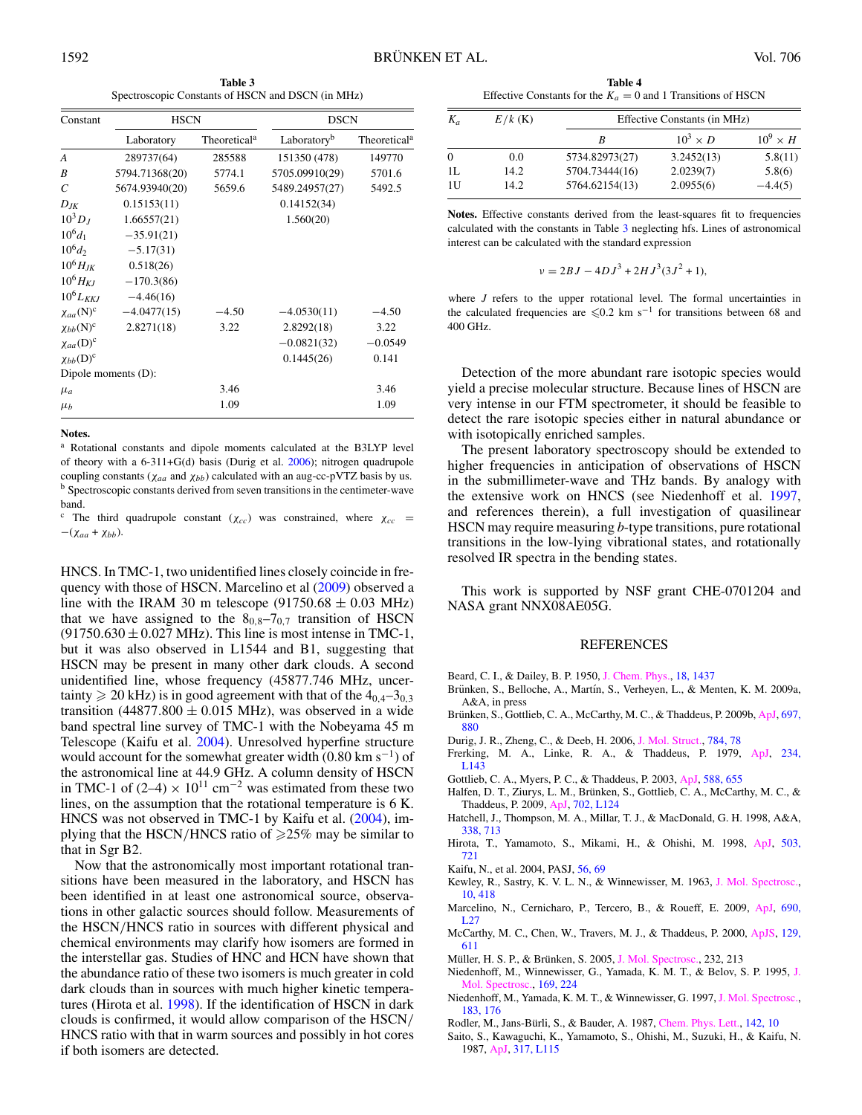**Table 3** Spectroscopic Constants of HSCN and DSCN (in MHz)

<span id="page-4-13"></span>

| Constant                     | <b>HSCN</b>         |                          | <b>DSCN</b>             |                          |
|------------------------------|---------------------|--------------------------|-------------------------|--------------------------|
|                              | Laboratory          | Theoretical <sup>a</sup> | Laboratory <sup>b</sup> | Theoretical <sup>a</sup> |
| A                            | 289737(64)          | 285588                   | 151350 (478)            | 149770                   |
| B                            | 5794.71368(20)      | 5774.1                   | 5705.09910(29)          | 5701.6                   |
| C                            | 5674.93940(20)      | 5659.6                   | 5489.24957(27)          | 5492.5                   |
| $D_{JK}$                     | 0.15153(11)         |                          | 0.14152(34)             |                          |
| $10^3D_I$                    | 1.66557(21)         |                          | 1.560(20)               |                          |
| $10^{6}d_{1}$                | $-35.91(21)$        |                          |                         |                          |
| $10^{6}d_{2}$                | $-5.17(31)$         |                          |                         |                          |
| $10^6 H_{IK}$                | 0.518(26)           |                          |                         |                          |
| $10^6$ H <sub>KI</sub>       | $-170.3(86)$        |                          |                         |                          |
| $10^6 L_{KKJ}$               | $-4.46(16)$         |                          |                         |                          |
| $\chi_{aa}$ (N) <sup>c</sup> | $-4.0477(15)$       | $-4.50$                  | $-4.0530(11)$           | $-4.50$                  |
| $\chi_{bb}$ (N) <sup>c</sup> | 2.8271(18)          | 3.22                     | 2.8292(18)              | 3.22                     |
| $\chi_{aa}(\mathbf{D})^c$    |                     |                          | $-0.0821(32)$           | $-0.0549$                |
| $\chi_{bb}(D)^c$             |                     |                          | 0.1445(26)              | 0.141                    |
|                              | Dipole moments (D): |                          |                         |                          |
| $\mu_a$                      |                     | 3.46                     |                         | 3.46                     |
| $\mu_b$                      |                     | 1.09                     |                         | 1.09                     |

#### **Notes.**

<sup>a</sup> Rotational constants and dipole moments calculated at the B3LYP level of theory with a 6-311+G(d) basis (Durig et al. [2006\)](#page-4-10); nitrogen quadrupole coupling constants ( $\chi_{aa}$  and  $\chi_{bb}$ ) calculated with an aug-cc-pVTZ basis by us. b Spectroscopic constants derived from seven transitions in the centimeter-wave band.

<sup>c</sup> The third quadrupole constant ( $\chi_{cc}$ ) was constrained, where  $\chi_{cc}$  =  $-(\chi_{aa} + \chi_{bb}).$ 

<span id="page-4-16"></span><span id="page-4-12"></span><span id="page-4-10"></span><span id="page-4-8"></span><span id="page-4-7"></span><span id="page-4-1"></span><span id="page-4-0"></span>HNCS. In TMC-1, two unidentified lines closely coincide in frequency with those of HSCN. Marcelino et al [\(2009\)](#page-4-9) observed a line with the IRAM 30 m telescope (91750.68  $\pm$  0.03 MHz) that we have assigned to the  $8<sub>0,8</sub>-7<sub>0,7</sub>$  transition of HSCN  $(91750.630 \pm 0.027 \text{ MHz})$ . This line is most intense in TMC-1, but it was also observed in L1544 and B1, suggesting that HSCN may be present in many other dark clouds. A second unidentified line, whose frequency (45877.746 MHz, uncertainty  $\geq 20$  kHz) is in good agreement with that of the  $4_{0,4}$ – $3_{0,3}$ transition (44877.800  $\pm$  0.015 MHz), was observed in a wide band spectral line survey of TMC-1 with the Nobeyama 45 m Telescope (Kaifu et al. [2004\)](#page-4-17). Unresolved hyperfine structure would account for the somewhat greater width  $(0.80 \text{ km s}^{-1})$  of the astronomical line at 44.9 GHz. A column density of HSCN in TMC-1 of (2–4) ×  $10^{11}$  cm<sup>-2</sup> was estimated from these two lines, on the assumption that the rotational temperature is 6 K. HNCS was not observed in TMC-1 by Kaifu et al. [\(2004\)](#page-4-17), implying that the HSCN/HNCS ratio of  $\geq 25\%$  may be similar to that in Sgr B2.

<span id="page-4-18"></span><span id="page-4-17"></span><span id="page-4-15"></span><span id="page-4-14"></span><span id="page-4-11"></span><span id="page-4-9"></span><span id="page-4-6"></span><span id="page-4-5"></span><span id="page-4-4"></span><span id="page-4-3"></span><span id="page-4-2"></span>Now that the astronomically most important rotational transitions have been measured in the laboratory, and HSCN has been identified in at least one astronomical source, observations in other galactic sources should follow. Measurements of the HSCN/HNCS ratio in sources with different physical and chemical environments may clarify how isomers are formed in the interstellar gas. Studies of HNC and HCN have shown that the abundance ratio of these two isomers is much greater in cold dark clouds than in sources with much higher kinetic temperatures (Hirota et al. [1998\)](#page-4-18). If the identification of HSCN in dark clouds is confirmed, it would allow comparison of the HSCN/ HNCS ratio with that in warm sources and possibly in hot cores if both isomers are detected.

**Table 4** Effective Constants for the  $K_a = 0$  and 1 Transitions of HSCN

| $K_a$ | $E/k$ (K) | Effective Constants (in MHz) |                 |                 |
|-------|-----------|------------------------------|-----------------|-----------------|
|       |           | R                            | $10^3 \times D$ | $10^9 \times H$ |
| 0     | 0.0       | 5734.82973(27)               | 3.2452(13)      | 5.8(11)         |
| 1L    | 14.2      | 5704.73444(16)               | 2.0239(7)       | 5.8(6)          |
| 1U    | 14.2.     | 5764.62154(13)               | 2.0955(6)       | $-4.4(5)$       |

**Notes.** Effective constants derived from the least-squares fit to frequencies calculated with the constants in Table [3](#page-4-13) neglecting hfs. Lines of astronomical interest can be calculated with the standard expression

$$
v = 2BJ - 4DJ^3 + 2HJ^3(3J^2 + 1),
$$

where *J* refers to the upper rotational level. The formal uncertainties in the calculated frequencies are  $\leq 0.2$  km s<sup>-1</sup> for transitions between 68 and 400 GHz.

Detection of the more abundant rare isotopic species would yield a precise molecular structure. Because lines of HSCN are very intense in our FTM spectrometer, it should be feasible to detect the rare isotopic species either in natural abundance or with isotopically enriched samples.

The present laboratory spectroscopy should be extended to higher frequencies in anticipation of observations of HSCN in the submillimeter-wave and THz bands. By analogy with the extensive work on HNCS (see Niedenhoff et al. [1997,](#page-4-4) and references therein), a full investigation of quasilinear HSCN may require measuring *b*-type transitions, pure rotational transitions in the low-lying vibrational states, and rotationally resolved IR spectra in the bending states.

This work is supported by NSF grant CHE-0701204 and NASA grant NNX08AE05G.

#### REFERENCES

- Beard, C. I., & Dailey, B. P. 1950, [J. Chem. Phys.,](http://dx.doi.org/10.1063/1.1747507) [18, 1437](http://adsabs.harvard.edu/cgi-bin/bib_query?1950JChPh..18.1437B)
- Brünken, S., Belloche, A., Martín, S., Verheyen, L., & Menten, K. M. 2009a, A&A, in press
- Brünken, S., Gottlieb, C. A., McCarthy, M. C., & Thaddeus, P. 2009b,  $A<sub>1</sub>$ , [697,](http://adsabs.harvard.edu/cgi-bin/bib_query?2009ApJ...697..880B) [880](http://adsabs.harvard.edu/cgi-bin/bib_query?2009ApJ...697..880B)
- Durig, J. R., Zheng, C., & Deeb, H. 2006, [J. Mol. Struct.,](http://dx.doi.org/10.1016/j.molstruc.2005.06.034) [784, 78](http://adsabs.harvard.edu/cgi-bin/bib_query?2006JMoSt.784...78D)
- Frerking, M. A., Linke, R. A., & Thaddeus, P. 1979, [ApJ,](http://dx.doi.org/10.1086/183126) [234,](http://adsabs.harvard.edu/cgi-bin/bib_query?1979ApJ...234L.143F) [L143](http://adsabs.harvard.edu/cgi-bin/bib_query?1979ApJ...234L.143F)
- Gottlieb, C. A., Myers, P. C., & Thaddeus, P. 2003, [ApJ,](http://dx.doi.org/10.1086/368378) [588, 655](http://adsabs.harvard.edu/cgi-bin/bib_query?2003ApJ...588..655G)
- Halfen, D. T., Ziurys, L. M., Brünken, S., Gottlieb, C. A., McCarthy, M. C., & Thaddeus, P. 2009, [ApJ,](http://dx.doi.org/10.1088/0004-637X/702/2/L124) [702, L124](http://adsabs.harvard.edu/cgi-bin/bib_query?2009ApJ...702L.124H)
- Hatchell, J., Thompson, M. A., Millar, T. J., & MacDonald, G. H. 1998, A&A, [338, 713](http://adsabs.harvard.edu/cgi-bin/bib_query?1998A&A...338..713H)
- Hirota, T., Yamamoto, S., Mikami, H., & Ohishi, M. 1998, [ApJ,](http://dx.doi.org/10.1086/306032) [503,](http://adsabs.harvard.edu/cgi-bin/bib_query?1998ApJ...503..717H) [721](http://adsabs.harvard.edu/cgi-bin/bib_query?1998ApJ...503..717H)
- Kaifu, N., et al. 2004, PASJ, [56, 69](http://adsabs.harvard.edu/cgi-bin/bib_query?2004PASJ...56...69K)
- Kewley, R., Sastry, K. V. L. N., & Winnewisser, M. 1963, [J. Mol. Spectrosc.,](http://dx.doi.org/10.1016/0022-2852(63)90188-7) [10, 418](http://adsabs.harvard.edu/cgi-bin/bib_query?1963JMoSp..10..418K)
- Marcelino, N., Cernicharo, P., Tercero, B., & Roueff, E. 2009, [ApJ,](http://dx.doi.org/10.1088/0004-637X/690/1/L27) [690,](http://adsabs.harvard.edu/cgi-bin/bib_query?2009ApJ...690L..27M) [L27](http://adsabs.harvard.edu/cgi-bin/bib_query?2009ApJ...690L..27M)
- McCarthy, M. C., Chen, W., Travers, M. J., & Thaddeus, P. 2000, [ApJS,](http://dx.doi.org/10.1086/313428) [129,](http://adsabs.harvard.edu/cgi-bin/bib_query?2000ApJS..129..611M) [611](http://adsabs.harvard.edu/cgi-bin/bib_query?2000ApJS..129..611M)
- Müller, H. S. P., & Brünken, S. 2005, [J. Mol. Spectrosc.,](http://dx.doi.org/10.1016/j.jms.2005.04.010) 232, 213
- Niedenhoff, M., Winnewisser, G., Yamada, K. M. T., & Belov, S. P. 1995, [J.](http://dx.doi.org/10.1006/jmsp.1995.1018) [Mol. Spectrosc.,](http://dx.doi.org/10.1006/jmsp.1995.1018) [169, 224](http://adsabs.harvard.edu/cgi-bin/bib_query?1995JMoSp.169..224N)
- Niedenhoff, M., Yamada, K. M. T., & Winnewisser, G. 1997, [J. Mol. Spectrosc.,](http://dx.doi.org/10.1006/jmsp.1997.7269) [183, 176](http://adsabs.harvard.edu/cgi-bin/bib_query?1997JMoSp.183..176N)
- Rodler, M., Jans-Bürli, S., & Bauder, A. 1987, [Chem. Phys. Lett.,](http://dx.doi.org/10.1016/0009-2614(87)87241-X) [142, 10](http://adsabs.harvard.edu/cgi-bin/bib_query?1987CPL...142...10R)
- Saito, S., Kawaguchi, K., Yamamoto, S., Ohishi, M., Suzuki, H., & Kaifu, N. 1987, [ApJ,](http://dx.doi.org/10.1086/184923) [317, L115](http://adsabs.harvard.edu/cgi-bin/bib_query?1987ApJ...317L.115S)